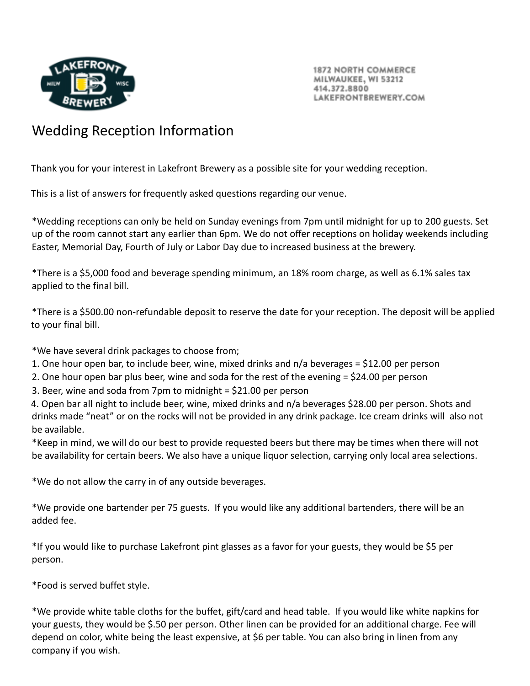

**1872 NORTH COMMERCE** MILWAUKEE, WI 53212 414.372.8800 AKEFRONTBREWERY.COM

## Wedding Reception Information

Thank you for your interest in Lakefront Brewery as a possible site for your wedding reception.

This is a list of answers for frequently asked questions regarding our venue.

\*Wedding receptions can only be held on Sunday evenings from 7pm until midnight for up to 200 guests. Set up of the room cannot start any earlier than 6pm. We do not offer receptions on holiday weekends including Easter, Memorial Day, Fourth of July or Labor Day due to increased business at the brewery.

\*There is a \$5,000 food and beverage spending minimum, an 18% room charge, as well as 6.1% sales tax applied to the final bill.

\*There is a \$500.00 non-refundable deposit to reserve the date for your reception. The deposit will be applied to your final bill.

\*We have several drink packages to choose from;

- 1. One hour open bar, to include beer, wine, mixed drinks and n/a beverages = \$12.00 per person
- 2. One hour open bar plus beer, wine and soda for the rest of the evening = \$24.00 per person
- 3. Beer, wine and soda from 7pm to midnight = \$21.00 per person

4. Open bar all night to include beer, wine, mixed drinks and n/a beverages \$28.00 per person. Shots and drinks made "neat" or on the rocks will not be provided in any drink package. Ice cream drinks will also not be available.

\*Keep in mind, we will do our best to provide requested beers but there may be times when there will not be availability for certain beers. We also have a unique liquor selection, carrying only local area selections.

\*We do not allow the carry in of any outside beverages.

\*We provide one bartender per 75 guests. If you would like any additional bartenders, there will be an added fee.

\*If you would like to purchase Lakefront pint glasses as a favor for your guests, they would be \$5 per person.

\*Food is served buffet style.

\*We provide white table cloths for the buffet, gift/card and head table. If you would like white napkins for your guests, they would be \$.50 per person. Other linen can be provided for an additional charge. Fee will depend on color, white being the least expensive, at \$6 per table. You can also bring in linen from any company if you wish.